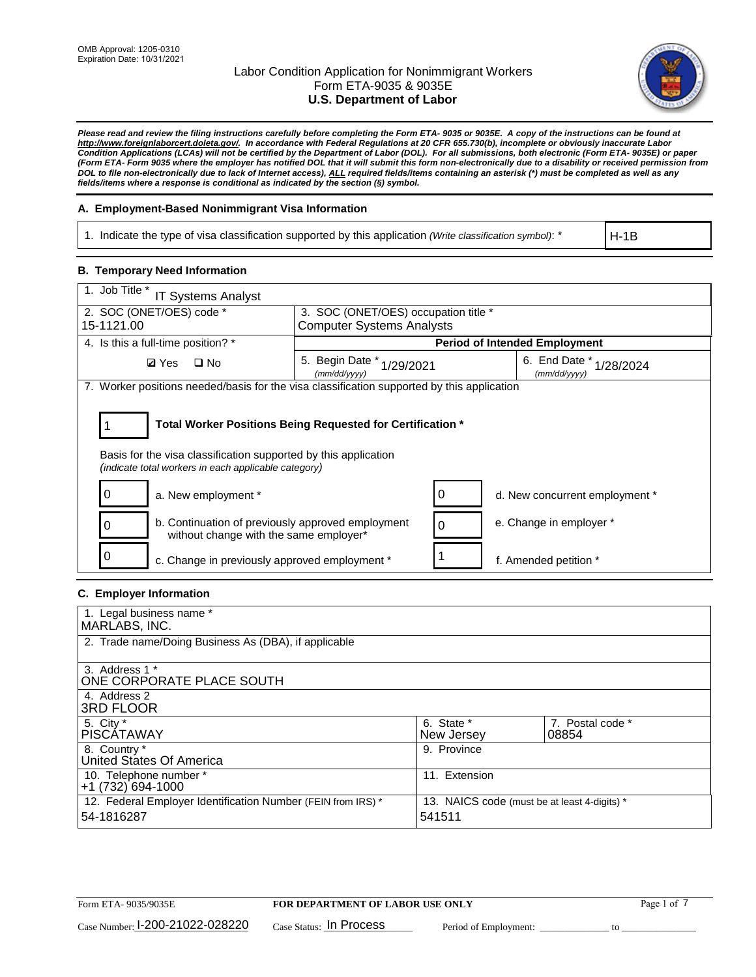

*Please read and review the filing instructions carefully before completing the Form ETA- 9035 or 9035E. A copy of the instructions can be found at http://www.foreignlaborcert.doleta.gov/. In accordance with Federal Regulations at 20 CFR 655.730(b), incomplete or obviously inaccurate Labor Condition Applications (LCAs) will not be certified by the Department of Labor (DOL). For all submissions, both electronic (Form ETA- 9035E) or paper (Form ETA- Form 9035 where the employer has notified DOL that it will submit this form non-electronically due to a disability or received permission from DOL to file non-electronically due to lack of Internet access), ALL required fields/items containing an asterisk (\*) must be completed as well as any fields/items where a response is conditional as indicated by the section (§) symbol.* 

### **A. Employment-Based Nonimmigrant Visa Information**

1. Indicate the type of visa classification supported by this application *(Write classification symbol)*: \*

H-1B

## **B. Temporary Need Information**

| 1. Job Title *<br><b>IT Systems Analyst</b>                                                                                                                                           |                                      |                                                          |                                      |  |  |  |
|---------------------------------------------------------------------------------------------------------------------------------------------------------------------------------------|--------------------------------------|----------------------------------------------------------|--------------------------------------|--|--|--|
| 2. SOC (ONET/OES) code *                                                                                                                                                              | 3. SOC (ONET/OES) occupation title * |                                                          |                                      |  |  |  |
| 15-1121.00                                                                                                                                                                            | <b>Computer Systems Analysts</b>     |                                                          |                                      |  |  |  |
| 4. Is this a full-time position? *                                                                                                                                                    |                                      |                                                          | <b>Period of Intended Employment</b> |  |  |  |
| $\square$ No<br><b>Ø</b> Yes                                                                                                                                                          | 5. Begin Date *<br>(mm/dd/yyyy)      | 6. End Date $*_{1/28/2024}$<br>1/29/2021<br>(mm/dd/vvvv) |                                      |  |  |  |
| 7. Worker positions needed/basis for the visa classification supported by this application                                                                                            |                                      |                                                          |                                      |  |  |  |
| Total Worker Positions Being Requested for Certification *<br>Basis for the visa classification supported by this application<br>(indicate total workers in each applicable category) |                                      |                                                          |                                      |  |  |  |
| a. New employment *                                                                                                                                                                   |                                      | 0                                                        | d. New concurrent employment *       |  |  |  |
| b. Continuation of previously approved employment<br>0<br>without change with the same employer*                                                                                      |                                      | 0                                                        | e. Change in employer *              |  |  |  |
| c. Change in previously approved employment *                                                                                                                                         |                                      |                                                          | f. Amended petition *                |  |  |  |

### **C. Employer Information**

| 1. Legal business name *                                     |                                              |                  |
|--------------------------------------------------------------|----------------------------------------------|------------------|
| MARLABS, INC.                                                |                                              |                  |
| 2. Trade name/Doing Business As (DBA), if applicable         |                                              |                  |
|                                                              |                                              |                  |
| 3. Address 1 *                                               |                                              |                  |
| ONE CORPORATE PLACE SOUTH                                    |                                              |                  |
| 4. Address 2                                                 |                                              |                  |
| <b>3RD FLOOR</b>                                             |                                              |                  |
| 5. City *                                                    | 6. State *                                   | 7. Postal code * |
| <b>PISCATAWAY</b>                                            | New Jersey                                   | 08854            |
| 8. Country *                                                 | 9. Province                                  |                  |
| United States Of America                                     |                                              |                  |
| 10. Telephone number *                                       | 11. Extension                                |                  |
| +1 (732) 694-1000                                            |                                              |                  |
| 12. Federal Employer Identification Number (FEIN from IRS) * | 13. NAICS code (must be at least 4-digits) * |                  |
| 54-1816287                                                   | 541511                                       |                  |
|                                                              |                                              |                  |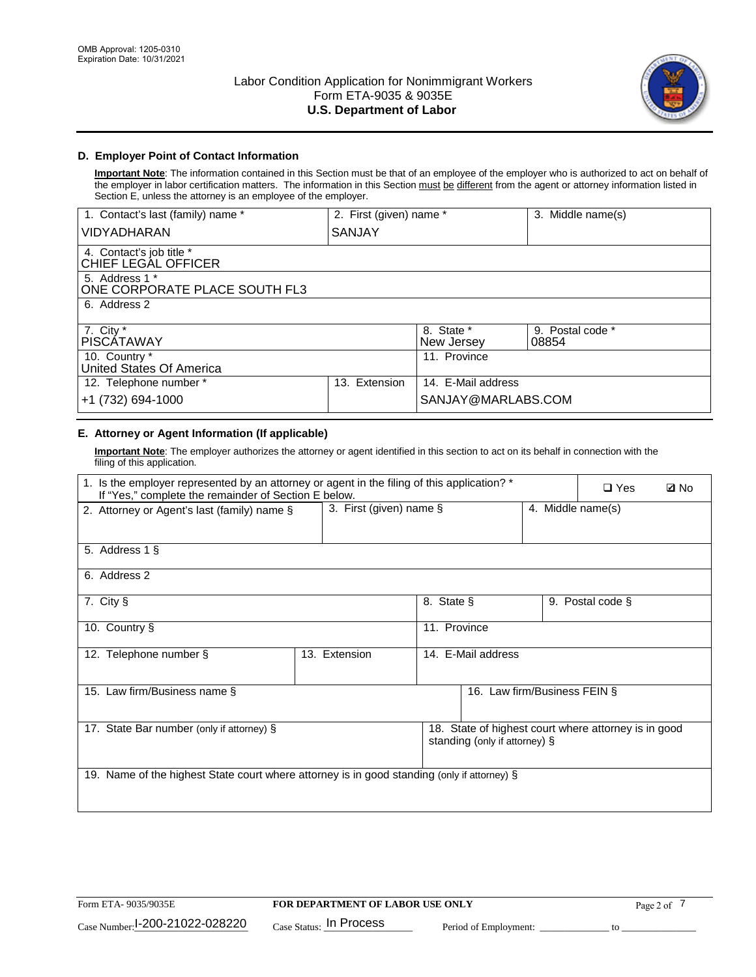

## **D. Employer Point of Contact Information**

**Important Note**: The information contained in this Section must be that of an employee of the employer who is authorized to act on behalf of the employer in labor certification matters. The information in this Section must be different from the agent or attorney information listed in Section E, unless the attorney is an employee of the employer.

| 1. Contact's last (family) name *               | 2. First (given) name * |                          | 3. Middle name(s)         |
|-------------------------------------------------|-------------------------|--------------------------|---------------------------|
| <b>VIDYADHARAN</b>                              | <b>SANJAY</b>           |                          |                           |
| 4. Contact's job title *<br>CHIEF LEGAL OFFICER |                         |                          |                           |
| 5. Address 1 *<br>ONE CORPORATE PLACE SOUTH FL3 |                         |                          |                           |
| 6. Address 2                                    |                         |                          |                           |
| 7. City $*$<br><b>PISCÁTAWAY</b>                |                         | 8. State *<br>New Jersey | 9. Postal code *<br>08854 |
| 10. Country *<br>United States Of America       |                         | 11. Province             |                           |
| 12. Telephone number *                          | Extension<br>13.        | 14. E-Mail address       |                           |
| +1 (732) 694-1000                               |                         | SANJAY@MARLABS.COM       |                           |

# **E. Attorney or Agent Information (If applicable)**

**Important Note**: The employer authorizes the attorney or agent identified in this section to act on its behalf in connection with the filing of this application.

| 1. Is the employer represented by an attorney or agent in the filing of this application? *<br>If "Yes," complete the remainder of Section E below. |               |                                                 |                               |  | $\Box$ Yes                                           | <b>Ø</b> No |
|-----------------------------------------------------------------------------------------------------------------------------------------------------|---------------|-------------------------------------------------|-------------------------------|--|------------------------------------------------------|-------------|
| 2. Attorney or Agent's last (family) name §                                                                                                         |               | 3. First (given) name $\S$<br>4. Middle name(s) |                               |  |                                                      |             |
| 5. Address 1 §                                                                                                                                      |               |                                                 |                               |  |                                                      |             |
| 6. Address 2                                                                                                                                        |               |                                                 |                               |  |                                                      |             |
| 7. City §                                                                                                                                           |               | 8. State §                                      |                               |  | 9. Postal code §                                     |             |
| 10. Country §                                                                                                                                       |               | 11. Province                                    |                               |  |                                                      |             |
| 12. Telephone number §                                                                                                                              | 13. Extension |                                                 | 14. E-Mail address            |  |                                                      |             |
| 15. Law firm/Business name §                                                                                                                        |               |                                                 | 16. Law firm/Business FEIN §  |  |                                                      |             |
| 17. State Bar number (only if attorney) §                                                                                                           |               |                                                 | standing (only if attorney) § |  | 18. State of highest court where attorney is in good |             |
| 19. Name of the highest State court where attorney is in good standing (only if attorney) §                                                         |               |                                                 |                               |  |                                                      |             |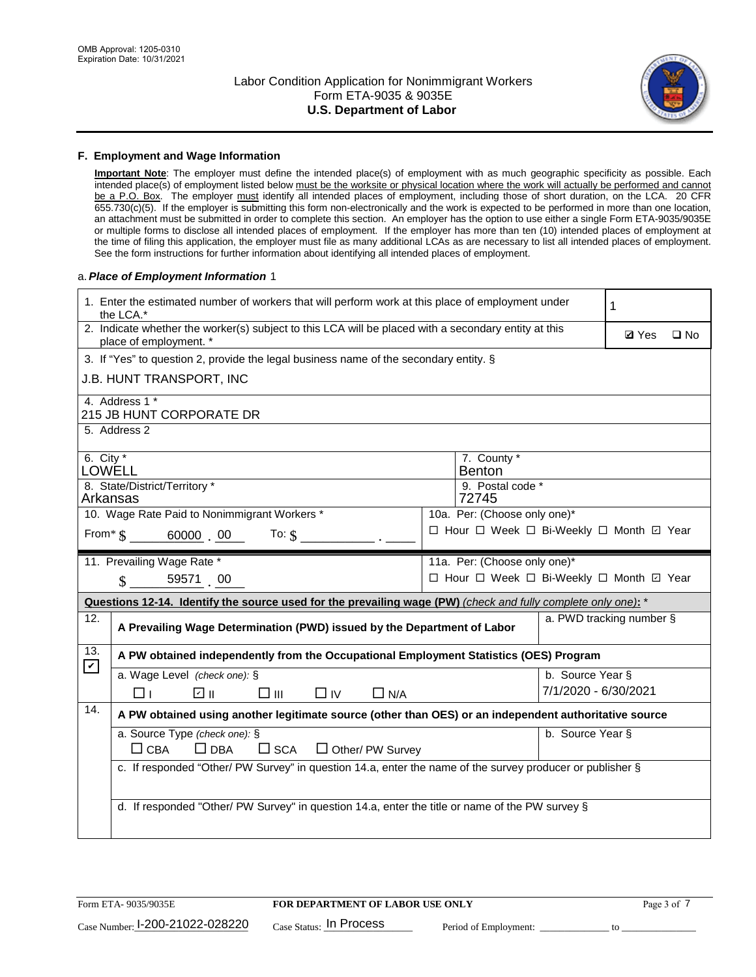

### **F. Employment and Wage Information**

**Important Note**: The employer must define the intended place(s) of employment with as much geographic specificity as possible. Each intended place(s) of employment listed below must be the worksite or physical location where the work will actually be performed and cannot be a P.O. Box. The employer must identify all intended places of employment, including those of short duration, on the LCA. 20 CFR 655.730(c)(5). If the employer is submitting this form non-electronically and the work is expected to be performed in more than one location, an attachment must be submitted in order to complete this section. An employer has the option to use either a single Form ETA-9035/9035E or multiple forms to disclose all intended places of employment. If the employer has more than ten (10) intended places of employment at the time of filing this application, the employer must file as many additional LCAs as are necessary to list all intended places of employment. See the form instructions for further information about identifying all intended places of employment.

### a.*Place of Employment Information* 1

|                                                                              | 1. Enter the estimated number of workers that will perform work at this place of employment under<br>the LCA.*                 |  |                                          |                      |                          |              |  |
|------------------------------------------------------------------------------|--------------------------------------------------------------------------------------------------------------------------------|--|------------------------------------------|----------------------|--------------------------|--------------|--|
|                                                                              | 2. Indicate whether the worker(s) subject to this LCA will be placed with a secondary entity at this<br>place of employment. * |  |                                          |                      | <b>Ø</b> Yes             | $\square$ No |  |
|                                                                              | 3. If "Yes" to question 2, provide the legal business name of the secondary entity. §                                          |  |                                          |                      |                          |              |  |
|                                                                              | J.B. HUNT TRANSPORT, INC                                                                                                       |  |                                          |                      |                          |              |  |
|                                                                              | 4. Address 1 *<br>215 JB HUNT CORPORATE DR                                                                                     |  |                                          |                      |                          |              |  |
|                                                                              | 5. Address 2                                                                                                                   |  |                                          |                      |                          |              |  |
| 6. City $*$<br><b>LOWELL</b>                                                 |                                                                                                                                |  | 7. County *<br><b>Benton</b>             |                      |                          |              |  |
| Arkansas                                                                     | 8. State/District/Territory *                                                                                                  |  | 9. Postal code *<br>72745                |                      |                          |              |  |
| 10. Wage Rate Paid to Nonimmigrant Workers *<br>10a. Per: (Choose only one)* |                                                                                                                                |  |                                          |                      |                          |              |  |
|                                                                              | □ Hour □ Week □ Bi-Weekly □ Month □ Year<br>From $\text{\$}$ 60000 00<br>To: $\mathsf{\$}$                                     |  |                                          |                      |                          |              |  |
|                                                                              | 11. Prevailing Wage Rate *                                                                                                     |  | 11a. Per: (Choose only one)*             |                      |                          |              |  |
|                                                                              | $\sin 5957100$                                                                                                                 |  | □ Hour □ Week □ Bi-Weekly □ Month ☑ Year |                      |                          |              |  |
|                                                                              | Questions 12-14. Identify the source used for the prevailing wage (PW) (check and fully complete only one): *                  |  |                                          |                      |                          |              |  |
| 12.                                                                          | A Prevailing Wage Determination (PWD) issued by the Department of Labor                                                        |  |                                          |                      | a. PWD tracking number § |              |  |
| 13.<br>$\boxed{\mathbf{v}}$                                                  | A PW obtained independently from the Occupational Employment Statistics (OES) Program                                          |  |                                          |                      |                          |              |  |
|                                                                              | a. Wage Level (check one): §                                                                                                   |  |                                          | b. Source Year §     |                          |              |  |
|                                                                              | ☑ ॥<br>$\square$ $\square$<br>$\Box$ IV<br>$\Box$ N/A<br>⊓⊥                                                                    |  |                                          | 7/1/2020 - 6/30/2021 |                          |              |  |
| 14.                                                                          | A PW obtained using another legitimate source (other than OES) or an independent authoritative source                          |  |                                          |                      |                          |              |  |
|                                                                              | a. Source Type (check one): §<br>b. Source Year §<br>$\Box$ CBA<br>$\Box$ DBA<br>$\square$ SCA<br>$\Box$ Other/ PW Survey      |  |                                          |                      |                          |              |  |
|                                                                              | c. If responded "Other/ PW Survey" in question 14.a, enter the name of the survey producer or publisher §                      |  |                                          |                      |                          |              |  |
|                                                                              |                                                                                                                                |  |                                          |                      |                          |              |  |
|                                                                              | d. If responded "Other/ PW Survey" in question 14.a, enter the title or name of the PW survey §                                |  |                                          |                      |                          |              |  |
|                                                                              |                                                                                                                                |  |                                          |                      |                          |              |  |
|                                                                              |                                                                                                                                |  |                                          |                      |                          |              |  |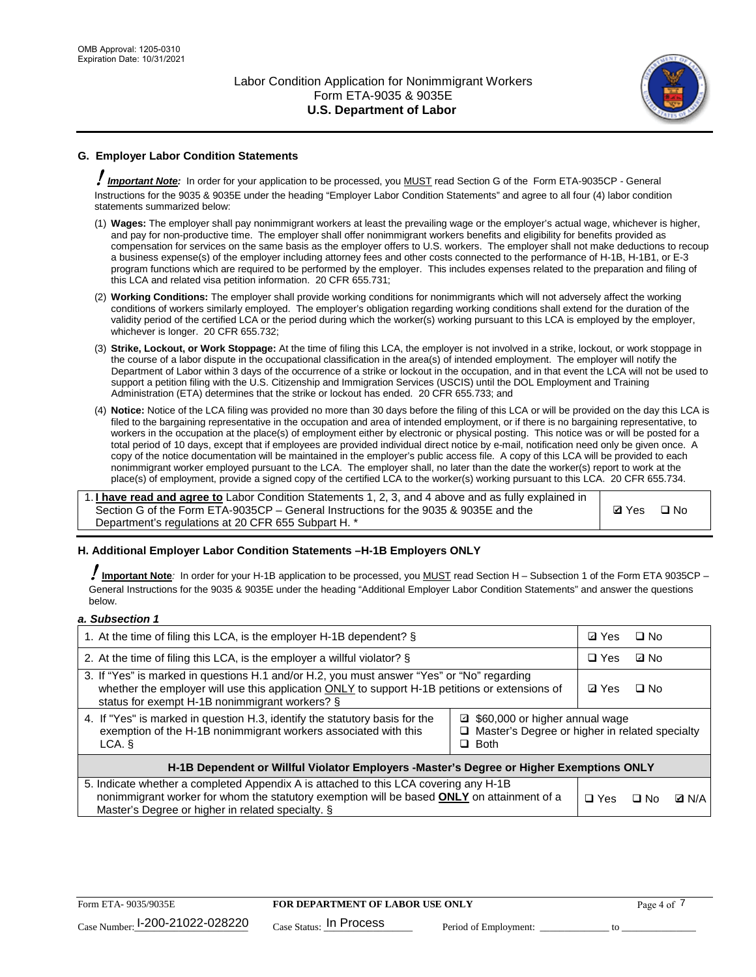

# **G. Employer Labor Condition Statements**

! *Important Note:* In order for your application to be processed, you MUST read Section G of the Form ETA-9035CP - General Instructions for the 9035 & 9035E under the heading "Employer Labor Condition Statements" and agree to all four (4) labor condition statements summarized below:

- (1) **Wages:** The employer shall pay nonimmigrant workers at least the prevailing wage or the employer's actual wage, whichever is higher, and pay for non-productive time. The employer shall offer nonimmigrant workers benefits and eligibility for benefits provided as compensation for services on the same basis as the employer offers to U.S. workers. The employer shall not make deductions to recoup a business expense(s) of the employer including attorney fees and other costs connected to the performance of H-1B, H-1B1, or E-3 program functions which are required to be performed by the employer. This includes expenses related to the preparation and filing of this LCA and related visa petition information. 20 CFR 655.731;
- (2) **Working Conditions:** The employer shall provide working conditions for nonimmigrants which will not adversely affect the working conditions of workers similarly employed. The employer's obligation regarding working conditions shall extend for the duration of the validity period of the certified LCA or the period during which the worker(s) working pursuant to this LCA is employed by the employer, whichever is longer. 20 CFR 655.732;
- (3) **Strike, Lockout, or Work Stoppage:** At the time of filing this LCA, the employer is not involved in a strike, lockout, or work stoppage in the course of a labor dispute in the occupational classification in the area(s) of intended employment. The employer will notify the Department of Labor within 3 days of the occurrence of a strike or lockout in the occupation, and in that event the LCA will not be used to support a petition filing with the U.S. Citizenship and Immigration Services (USCIS) until the DOL Employment and Training Administration (ETA) determines that the strike or lockout has ended. 20 CFR 655.733; and
- (4) **Notice:** Notice of the LCA filing was provided no more than 30 days before the filing of this LCA or will be provided on the day this LCA is filed to the bargaining representative in the occupation and area of intended employment, or if there is no bargaining representative, to workers in the occupation at the place(s) of employment either by electronic or physical posting. This notice was or will be posted for a total period of 10 days, except that if employees are provided individual direct notice by e-mail, notification need only be given once. A copy of the notice documentation will be maintained in the employer's public access file. A copy of this LCA will be provided to each nonimmigrant worker employed pursuant to the LCA. The employer shall, no later than the date the worker(s) report to work at the place(s) of employment, provide a signed copy of the certified LCA to the worker(s) working pursuant to this LCA. 20 CFR 655.734.

1. **I have read and agree to** Labor Condition Statements 1, 2, 3, and 4 above and as fully explained in Section G of the Form ETA-9035CP – General Instructions for the 9035 & 9035E and the Department's regulations at 20 CFR 655 Subpart H. \*

**Ø**Yes ロNo

### **H. Additional Employer Labor Condition Statements –H-1B Employers ONLY**

!**Important Note***:* In order for your H-1B application to be processed, you MUST read Section H – Subsection 1 of the Form ETA 9035CP – General Instructions for the 9035 & 9035E under the heading "Additional Employer Labor Condition Statements" and answer the questions below.

#### *a. Subsection 1*

| 1. At the time of filing this LCA, is the employer H-1B dependent? §                                                                                                                                                                                          | ⊡ Yes      | □ No       |              |  |
|---------------------------------------------------------------------------------------------------------------------------------------------------------------------------------------------------------------------------------------------------------------|------------|------------|--------------|--|
| 2. At the time of filing this LCA, is the employer a willful violator? $\S$                                                                                                                                                                                   |            | $\Box$ Yes | ⊡ No         |  |
| 3. If "Yes" is marked in questions H.1 and/or H.2, you must answer "Yes" or "No" regarding<br>whether the employer will use this application ONLY to support H-1B petitions or extensions of<br>status for exempt H-1B nonimmigrant workers? §                |            |            | $\Box$ No    |  |
| 4. If "Yes" is marked in question H.3, identify the statutory basis for the<br>■ \$60,000 or higher annual wage<br>exemption of the H-1B nonimmigrant workers associated with this<br>□ Master's Degree or higher in related specialty<br>$\Box$ Both<br>LCA. |            |            |              |  |
| H-1B Dependent or Willful Violator Employers -Master's Degree or Higher Exemptions ONLY                                                                                                                                                                       |            |            |              |  |
| 5. Indicate whether a completed Appendix A is attached to this LCA covering any H-1B<br>nonimmigrant worker for whom the statutory exemption will be based <b>ONLY</b> on attainment of a<br>Master's Degree or higher in related specialty. §                | $\Box$ Yes | ⊡ No       | <b>Q</b> N/A |  |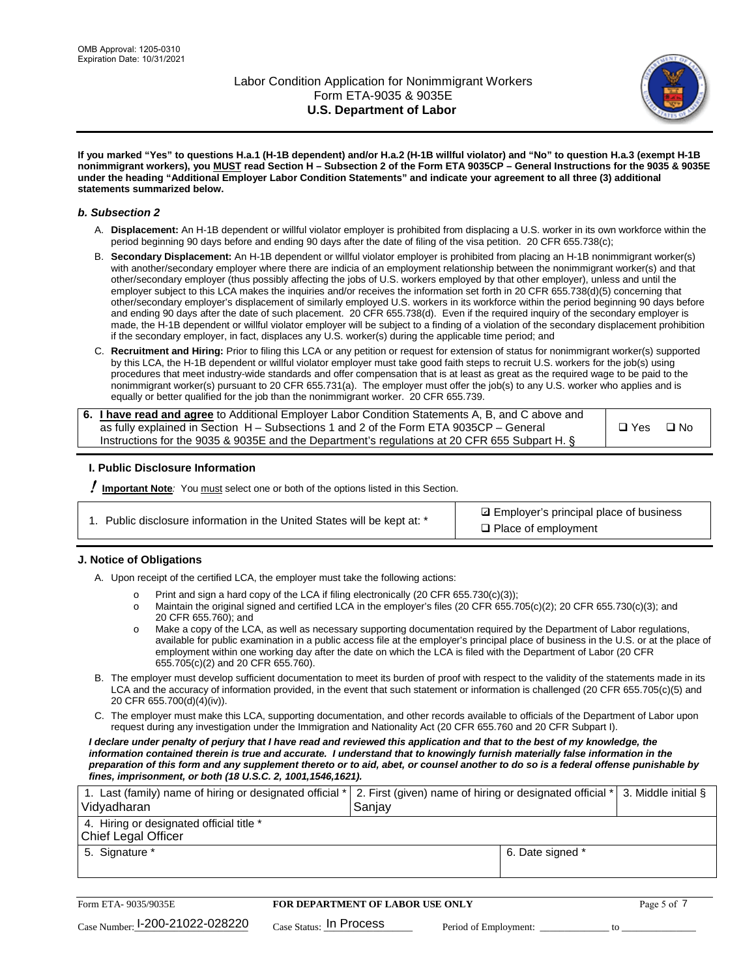

**If you marked "Yes" to questions H.a.1 (H-1B dependent) and/or H.a.2 (H-1B willful violator) and "No" to question H.a.3 (exempt H-1B nonimmigrant workers), you MUST read Section H – Subsection 2 of the Form ETA 9035CP – General Instructions for the 9035 & 9035E under the heading "Additional Employer Labor Condition Statements" and indicate your agreement to all three (3) additional statements summarized below.**

### *b. Subsection 2*

- A. **Displacement:** An H-1B dependent or willful violator employer is prohibited from displacing a U.S. worker in its own workforce within the period beginning 90 days before and ending 90 days after the date of filing of the visa petition. 20 CFR 655.738(c);
- B. **Secondary Displacement:** An H-1B dependent or willful violator employer is prohibited from placing an H-1B nonimmigrant worker(s) with another/secondary employer where there are indicia of an employment relationship between the nonimmigrant worker(s) and that other/secondary employer (thus possibly affecting the jobs of U.S. workers employed by that other employer), unless and until the employer subject to this LCA makes the inquiries and/or receives the information set forth in 20 CFR 655.738(d)(5) concerning that other/secondary employer's displacement of similarly employed U.S. workers in its workforce within the period beginning 90 days before and ending 90 days after the date of such placement. 20 CFR 655.738(d). Even if the required inquiry of the secondary employer is made, the H-1B dependent or willful violator employer will be subject to a finding of a violation of the secondary displacement prohibition if the secondary employer, in fact, displaces any U.S. worker(s) during the applicable time period; and
- C. **Recruitment and Hiring:** Prior to filing this LCA or any petition or request for extension of status for nonimmigrant worker(s) supported by this LCA, the H-1B dependent or willful violator employer must take good faith steps to recruit U.S. workers for the job(s) using procedures that meet industry-wide standards and offer compensation that is at least as great as the required wage to be paid to the nonimmigrant worker(s) pursuant to 20 CFR 655.731(a). The employer must offer the job(s) to any U.S. worker who applies and is equally or better qualified for the job than the nonimmigrant worker. 20 CFR 655.739.

| 6. I have read and agree to Additional Employer Labor Condition Statements A, B, and C above and |       |           |
|--------------------------------------------------------------------------------------------------|-------|-----------|
| as fully explained in Section H – Subsections 1 and 2 of the Form ETA 9035CP – General           | □ Yes | $\Box$ No |
| Instructions for the 9035 & 9035E and the Department's regulations at 20 CFR 655 Subpart H. §    |       |           |

### **I. Public Disclosure Information**

! **Important Note***:* You must select one or both of the options listed in this Section.

|  | 1. Public disclosure information in the United States will be kept at: * |  |  |  |
|--|--------------------------------------------------------------------------|--|--|--|
|  |                                                                          |  |  |  |

**sqrt** Employer's principal place of business □ Place of employment

### **J. Notice of Obligations**

A. Upon receipt of the certified LCA, the employer must take the following actions:

- o Print and sign a hard copy of the LCA if filing electronically (20 CFR 655.730(c)(3));<br>
Maintain the original signed and certified LCA in the employer's files (20 CFR 655.7
- Maintain the original signed and certified LCA in the employer's files (20 CFR 655.705(c)(2); 20 CFR 655.730(c)(3); and 20 CFR 655.760); and
- o Make a copy of the LCA, as well as necessary supporting documentation required by the Department of Labor regulations, available for public examination in a public access file at the employer's principal place of business in the U.S. or at the place of employment within one working day after the date on which the LCA is filed with the Department of Labor (20 CFR 655.705(c)(2) and 20 CFR 655.760).
- B. The employer must develop sufficient documentation to meet its burden of proof with respect to the validity of the statements made in its LCA and the accuracy of information provided, in the event that such statement or information is challenged (20 CFR 655.705(c)(5) and 20 CFR 655.700(d)(4)(iv)).
- C. The employer must make this LCA, supporting documentation, and other records available to officials of the Department of Labor upon request during any investigation under the Immigration and Nationality Act (20 CFR 655.760 and 20 CFR Subpart I).

*I declare under penalty of perjury that I have read and reviewed this application and that to the best of my knowledge, the*  information contained therein is true and accurate. I understand that to knowingly furnish materially false information in the *preparation of this form and any supplement thereto or to aid, abet, or counsel another to do so is a federal offense punishable by fines, imprisonment, or both (18 U.S.C. 2, 1001,1546,1621).*

| 1. Last (family) name of hiring or designated official *   2. First (given) name of hiring or designated official *   3. Middle initial §<br>Vidyadharan | Saniav           |  |
|----------------------------------------------------------------------------------------------------------------------------------------------------------|------------------|--|
| 4. Hiring or designated official title *<br>Chief Legal Officer                                                                                          |                  |  |
| 5. Signature *                                                                                                                                           | 6. Date signed * |  |

| Form ETA-9035/9035E                         | <b>FOR DEPARTMENT OF LABOR USE ONLY</b> |                       |  |
|---------------------------------------------|-----------------------------------------|-----------------------|--|
| $_{\text{Case Number:}}$ 1-200-21022-028220 | $_{\rm Case~S status:}$ In Process      | Period of Employment: |  |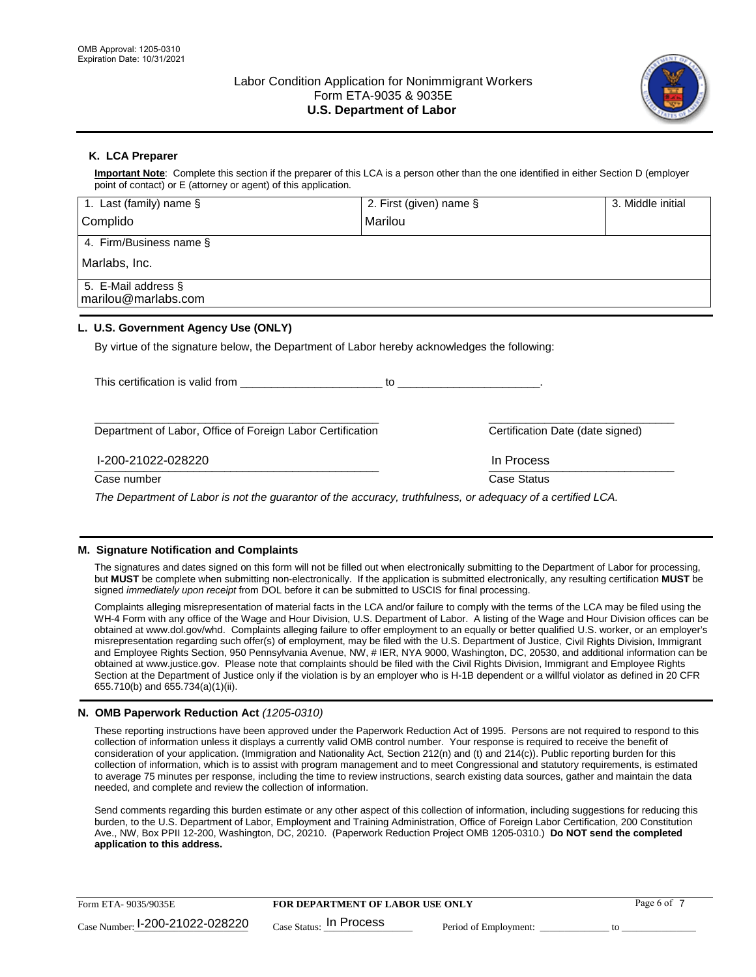

## **K. LCA Preparer**

**Important Note**: Complete this section if the preparer of this LCA is a person other than the one identified in either Section D (employer point of contact) or E (attorney or agent) of this application.

| 1. Last (family) name $\S$                                                                                            | 2. First (given) name §          | 3. Middle initial |
|-----------------------------------------------------------------------------------------------------------------------|----------------------------------|-------------------|
| Complido                                                                                                              | Marilou                          |                   |
| 4. Firm/Business name §                                                                                               |                                  |                   |
| Marlabs, Inc.                                                                                                         |                                  |                   |
| 5. E-Mail address §<br>marilou@marlabs.com                                                                            |                                  |                   |
| L. U.S. Government Agency Use (ONLY)                                                                                  |                                  |                   |
| By virtue of the signature below, the Department of Labor hereby acknowledges the following:                          |                                  |                   |
| This certification is valid from This certification of the state of the state of the This certification is valid from | to to                            |                   |
| Department of Labor, Office of Foreign Labor Certification                                                            | Certification Date (date signed) |                   |
|                                                                                                                       |                                  |                   |

 $\frac{1111100688}{1111100688}$ I-200-21022-028220 In Process

Case number **Case Status** Case Status **Case Status** 

*The Department of Labor is not the guarantor of the accuracy, truthfulness, or adequacy of a certified LCA.*

### **M. Signature Notification and Complaints**

The signatures and dates signed on this form will not be filled out when electronically submitting to the Department of Labor for processing, but **MUST** be complete when submitting non-electronically. If the application is submitted electronically, any resulting certification **MUST** be signed *immediately upon receipt* from DOL before it can be submitted to USCIS for final processing.

Complaints alleging misrepresentation of material facts in the LCA and/or failure to comply with the terms of the LCA may be filed using the WH-4 Form with any office of the Wage and Hour Division, U.S. Department of Labor. A listing of the Wage and Hour Division offices can be obtained at www.dol.gov/whd. Complaints alleging failure to offer employment to an equally or better qualified U.S. worker, or an employer's misrepresentation regarding such offer(s) of employment, may be filed with the U.S. Department of Justice, Civil Rights Division, Immigrant and Employee Rights Section, 950 Pennsylvania Avenue, NW, # IER, NYA 9000, Washington, DC, 20530, and additional information can be obtained at www.justice.gov. Please note that complaints should be filed with the Civil Rights Division, Immigrant and Employee Rights Section at the Department of Justice only if the violation is by an employer who is H-1B dependent or a willful violator as defined in 20 CFR 655.710(b) and 655.734(a)(1)(ii).

### **N. OMB Paperwork Reduction Act** *(1205-0310)*

These reporting instructions have been approved under the Paperwork Reduction Act of 1995. Persons are not required to respond to this collection of information unless it displays a currently valid OMB control number. Your response is required to receive the benefit of consideration of your application. (Immigration and Nationality Act, Section 212(n) and (t) and 214(c)). Public reporting burden for this collection of information, which is to assist with program management and to meet Congressional and statutory requirements, is estimated to average 75 minutes per response, including the time to review instructions, search existing data sources, gather and maintain the data needed, and complete and review the collection of information.

Send comments regarding this burden estimate or any other aspect of this collection of information, including suggestions for reducing this burden, to the U.S. Department of Labor, Employment and Training Administration, Office of Foreign Labor Certification, 200 Constitution Ave., NW, Box PPII 12-200, Washington, DC, 20210. (Paperwork Reduction Project OMB 1205-0310.) **Do NOT send the completed application to this address.**

| Form ETA-9035/9035E             | <b>FOR DEPARTMENT OF LABOR USE ONLY</b> | Page 6 of             |  |
|---------------------------------|-----------------------------------------|-----------------------|--|
| Case Number: 1-200-21022-028220 | $_{\text{Case Status:}}$ In Process     | Period of Employment: |  |